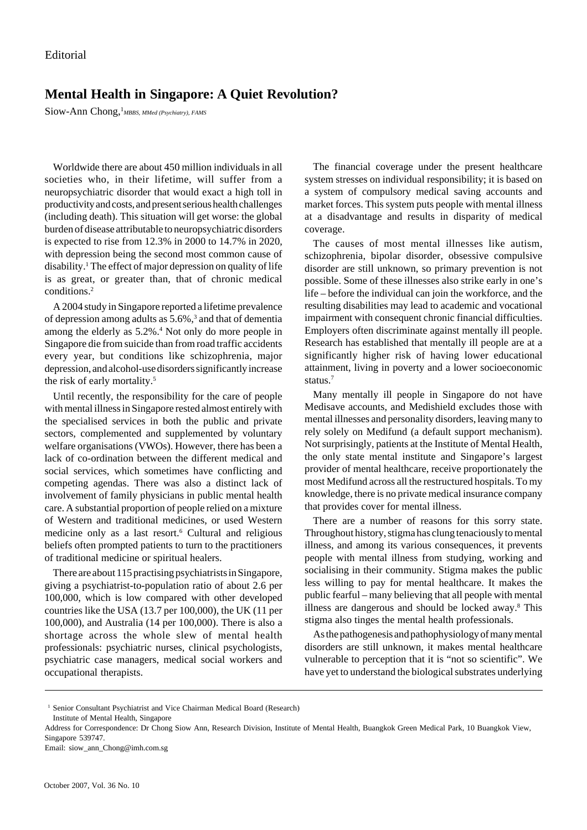## **Mental Health in Singapore: A Quiet Revolution?**

Siow-Ann Chong, <sup>1</sup>*MBBS, MMed (Psychiatry), FAMS* 

Worldwide there are about 450 million individuals in all societies who, in their lifetime, will suffer from a neuropsychiatric disorder that would exact a high toll in productivity and costs, and present serious health challenges (including death). This situation will get worse: the global burden of disease attributable to neuropsychiatric disorders is expected to rise from 12.3% in 2000 to 14.7% in 2020, with depression being the second most common cause of disability.1 The effect of major depression on quality of life is as great, or greater than, that of chronic medical conditions.2

A 2004 study in Singapore reported a lifetime prevalence of depression among adults as 5.6%,<sup>3</sup> and that of dementia among the elderly as 5.2%.<sup>4</sup> Not only do more people in Singapore die from suicide than from road traffic accidents every year, but conditions like schizophrenia, major depression, and alcohol-use disorders significantly increase the risk of early mortality.5

Until recently, the responsibility for the care of people with mental illness in Singapore rested almost entirely with the specialised services in both the public and private sectors, complemented and supplemented by voluntary welfare organisations (VWOs). However, there has been a lack of co-ordination between the different medical and social services, which sometimes have conflicting and competing agendas. There was also a distinct lack of involvement of family physicians in public mental health care. A substantial proportion of people relied on a mixture of Western and traditional medicines, or used Western medicine only as a last resort.<sup>6</sup> Cultural and religious beliefs often prompted patients to turn to the practitioners of traditional medicine or spiritual healers.

There are about 115 practising psychiatrists in Singapore, giving a psychiatrist-to-population ratio of about 2.6 per 100,000, which is low compared with other developed countries like the USA (13.7 per 100,000), the UK (11 per 100,000), and Australia (14 per 100,000). There is also a shortage across the whole slew of mental health professionals: psychiatric nurses, clinical psychologists, psychiatric case managers, medical social workers and occupational therapists.

The financial coverage under the present healthcare system stresses on individual responsibility; it is based on a system of compulsory medical saving accounts and market forces. This system puts people with mental illness at a disadvantage and results in disparity of medical coverage.

The causes of most mental illnesses like autism, schizophrenia, bipolar disorder, obsessive compulsive disorder are still unknown, so primary prevention is not possible. Some of these illnesses also strike early in one's life – before the individual can join the workforce, and the resulting disabilities may lead to academic and vocational impairment with consequent chronic financial difficulties. Employers often discriminate against mentally ill people. Research has established that mentally ill people are at a significantly higher risk of having lower educational attainment, living in poverty and a lower socioeconomic status.7

Many mentally ill people in Singapore do not have Medisave accounts, and Medishield excludes those with mental illnesses and personality disorders, leaving many to rely solely on Medifund (a default support mechanism). Not surprisingly, patients at the Institute of Mental Health, the only state mental institute and Singapore's largest provider of mental healthcare, receive proportionately the most Medifund across all the restructured hospitals. To my knowledge, there is no private medical insurance company that provides cover for mental illness.

There are a number of reasons for this sorry state. Throughout history, stigma has clung tenaciously to mental illness, and among its various consequences, it prevents people with mental illness from studying, working and socialising in their community. Stigma makes the public less willing to pay for mental healthcare. It makes the public fearful – many believing that all people with mental illness are dangerous and should be locked away.<sup>8</sup> This stigma also tinges the mental health professionals.

As the pathogenesis and pathophysiology of many mental disorders are still unknown, it makes mental healthcare vulnerable to perception that it is "not so scientific". We have yet to understand the biological substrates underlying

Email: siow\_ann\_Chong@imh.com.sg

<sup>&</sup>lt;sup>1</sup> Senior Consultant Psychiatrist and Vice Chairman Medical Board (Research)

Institute of Mental Health, Singapore

Address for Correspondence: Dr Chong Siow Ann, Research Division, Institute of Mental Health, Buangkok Green Medical Park, 10 Buangkok View, Singapore 539747.